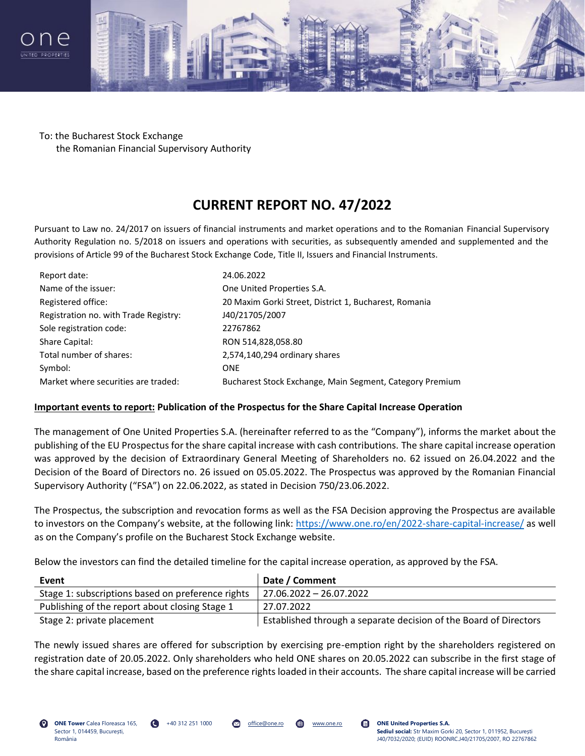



To: the Bucharest Stock Exchange the Romanian Financial Supervisory Authority

## **CURRENT REPORT NO. 47/2022**

Pursuant to Law no. 24/2017 on issuers of financial instruments and market operations and to the Romanian Financial Supervisory Authority Regulation no. 5/2018 on issuers and operations with securities, as subsequently amended and supplemented and the provisions of Article 99 of the Bucharest Stock Exchange Code, Title II, Issuers and Financial Instruments.

| Report date:                          | 24.06.2022                                               |
|---------------------------------------|----------------------------------------------------------|
| Name of the issuer:                   | One United Properties S.A.                               |
| Registered office:                    | 20 Maxim Gorki Street, District 1, Bucharest, Romania    |
| Registration no. with Trade Registry: | J40/21705/2007                                           |
| Sole registration code:               | 22767862                                                 |
| Share Capital:                        | RON 514,828,058.80                                       |
| Total number of shares:               | 2,574,140,294 ordinary shares                            |
| Symbol:                               | <b>ONE</b>                                               |
| Market where securities are traded:   | Bucharest Stock Exchange, Main Segment, Category Premium |

## **Important events to report: Publication of the Prospectus for the Share Capital Increase Operation**

The management of One United Properties S.A. (hereinafter referred to as the "Company"), informs the market about the publishing of the EU Prospectus for the share capital increase with cash contributions. The share capital increase operation was approved by the decision of Extraordinary General Meeting of Shareholders no. 62 issued on 26.04.2022 and the Decision of the Board of Directors no. 26 issued on 05.05.2022. The Prospectus was approved by the Romanian Financial Supervisory Authority ("FSA") on 22.06.2022, as stated in Decision 750/23.06.2022.

The Prospectus, the subscription and revocation forms as well as the FSA Decision approving the Prospectus are available to investors on the Company's website, at the following link: <https://www.one.ro/en/2022-share-capital-increase/> as well as on the Company's profile on the Bucharest Stock Exchange website.

Below the investors can find the detailed timeline for the capital increase operation, as approved by the FSA.

| Event                                             | Date / Comment                                                    |
|---------------------------------------------------|-------------------------------------------------------------------|
| Stage 1: subscriptions based on preference rights | 27.06.2022 - 26.07.2022                                           |
| Publishing of the report about closing Stage 1    | 27.07.2022                                                        |
| Stage 2: private placement                        | Established through a separate decision of the Board of Directors |

The newly issued shares are offered for subscription by exercising pre-emption right by the shareholders registered on registration date of 20.05.2022. Only shareholders who held ONE shares on 20.05.2022 can subscribe in the first stage of the share capital increase, based on the preference rights loaded in their accounts. The share capital increase will be carried